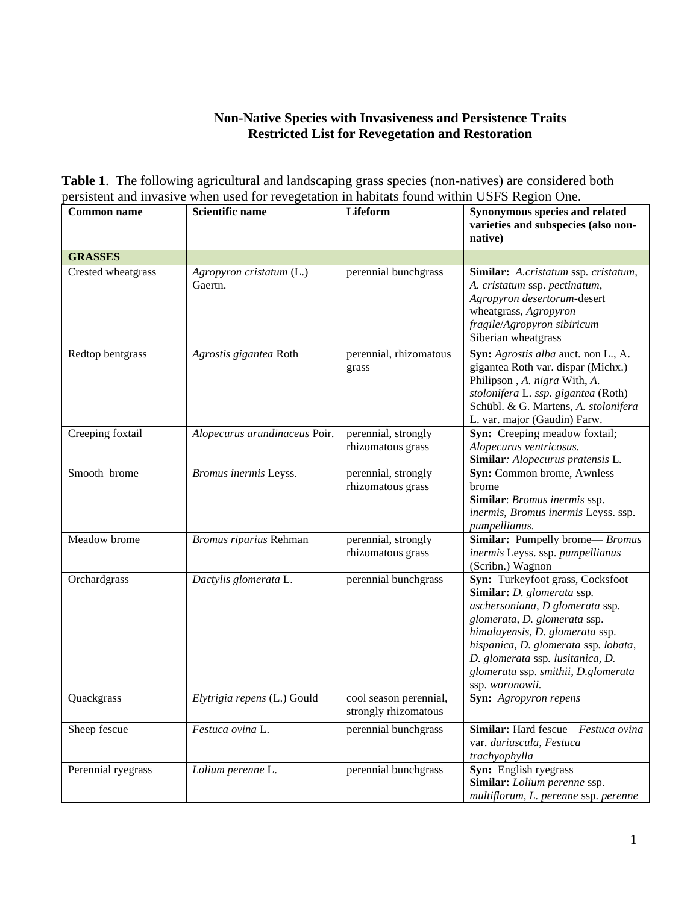## **Non-Native Species with Invasiveness and Persistence Traits Restricted List for Revegetation and Restoration**

**Table 1**. The following agricultural and landscaping grass species (non-natives) are considered both persistent and invasive when used for revegetation in habitats found within USFS Region One.

| <b>Common name</b> | Scientific name                     | Lifeform                                       | Synonymous species and related<br>varieties and subspecies (also non-<br>native)                                                                                                                                                                                                                           |
|--------------------|-------------------------------------|------------------------------------------------|------------------------------------------------------------------------------------------------------------------------------------------------------------------------------------------------------------------------------------------------------------------------------------------------------------|
| <b>GRASSES</b>     |                                     |                                                |                                                                                                                                                                                                                                                                                                            |
| Crested wheatgrass | Agropyron cristatum (L.)<br>Gaertn. | perennial bunchgrass                           | Similar: A.cristatum ssp. cristatum,<br>A. cristatum ssp. pectinatum,<br>Agropyron desertorum-desert<br>wheatgrass, Agropyron<br>fragile/Agropyron sibiricum-<br>Siberian wheatgrass                                                                                                                       |
| Redtop bentgrass   | Agrostis gigantea Roth              | perennial, rhizomatous<br>grass                | Syn: Agrostis alba auct. non L., A.<br>gigantea Roth var. dispar (Michx.)<br>Philipson , A. nigra With, A.<br>stolonifera L. ssp. gigantea (Roth)<br>Schübl. & G. Martens, A. stolonifera<br>L. var. major (Gaudin) Farw.                                                                                  |
| Creeping foxtail   | Alopecurus arundinaceus Poir.       | perennial, strongly<br>rhizomatous grass       | Syn: Creeping meadow foxtail;<br>Alopecurus ventricosus.<br>Similar: Alopecurus pratensis L.                                                                                                                                                                                                               |
| Smooth brome       | Bromus inermis Leyss.               | perennial, strongly<br>rhizomatous grass       | Syn: Common brome, Awnless<br>brome<br>Similar: Bromus inermis ssp.<br>inermis, Bromus inermis Leyss. ssp.<br>pumpellianus.                                                                                                                                                                                |
| Meadow brome       | Bromus riparius Rehman              | perennial, strongly<br>rhizomatous grass       | Similar: Pumpelly brome-Bromus<br>inermis Leyss. ssp. pumpellianus<br>(Scribn.) Wagnon                                                                                                                                                                                                                     |
| Orchardgrass       | Dactylis glomerata L.               | perennial bunchgrass                           | Syn: Turkeyfoot grass, Cocksfoot<br>Similar: D. glomerata ssp.<br>aschersoniana, D glomerata ssp.<br>glomerata, D. glomerata ssp.<br>himalayensis, D. glomerata ssp.<br>hispanica, D. glomerata ssp. lobata,<br>D. glomerata ssp. lusitanica, D.<br>glomerata ssp. smithii, D.glomerata<br>ssp. woronowii. |
| Quackgrass         | Elytrigia repens (L.) Gould         | cool season perennial,<br>strongly rhizomatous | <b>Syn:</b> Agropyron repens                                                                                                                                                                                                                                                                               |
| Sheep fescue       | Festuca ovina L.                    | perennial bunchgrass                           | Similar: Hard fescue-Festuca ovina<br>var. duriuscula, Festuca<br>trachyophylla                                                                                                                                                                                                                            |
| Perennial ryegrass | Lolium perenne L.                   | perennial bunchgrass                           | Syn: English ryegrass<br>Similar: Lolium perenne ssp.<br>multiflorum, L. perenne ssp. perenne                                                                                                                                                                                                              |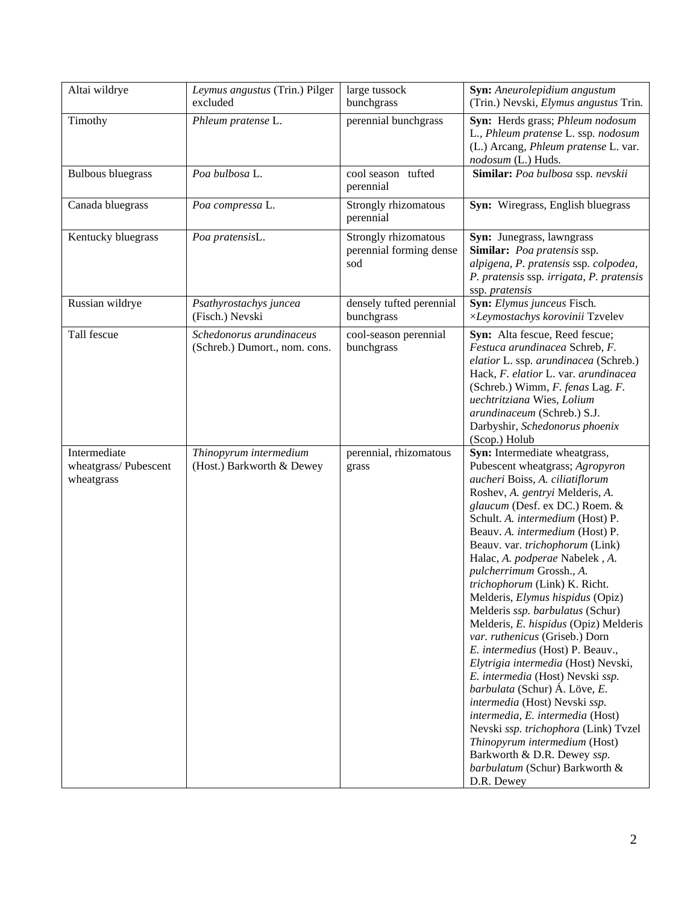| Altai wildrye                                      | Leymus angustus (Trin.) Pilger<br>excluded                | large tussock<br>bunchgrass                            | Syn: Aneurolepidium angustum<br>(Trin.) Nevski, Elymus angustus Trin.                                                                                                                                                                                                                                                                                                                                                                                                                                                                                                                                                                                                                                                                                                                                                                                                                                             |
|----------------------------------------------------|-----------------------------------------------------------|--------------------------------------------------------|-------------------------------------------------------------------------------------------------------------------------------------------------------------------------------------------------------------------------------------------------------------------------------------------------------------------------------------------------------------------------------------------------------------------------------------------------------------------------------------------------------------------------------------------------------------------------------------------------------------------------------------------------------------------------------------------------------------------------------------------------------------------------------------------------------------------------------------------------------------------------------------------------------------------|
| Timothy                                            | Phleum pratense L.                                        | perennial bunchgrass                                   | Syn: Herds grass; Phleum nodosum<br>L., Phleum pratense L. ssp. nodosum<br>(L.) Arcang, Phleum pratense L. var.<br>nodosum (L.) Huds.                                                                                                                                                                                                                                                                                                                                                                                                                                                                                                                                                                                                                                                                                                                                                                             |
| <b>Bulbous bluegrass</b>                           | Poa bulbosa L.                                            | cool season tufted<br>perennial                        | Similar: Poa bulbosa ssp. nevskii                                                                                                                                                                                                                                                                                                                                                                                                                                                                                                                                                                                                                                                                                                                                                                                                                                                                                 |
| Canada bluegrass                                   | Poa compressa L.                                          | Strongly rhizomatous<br>perennial                      | Syn: Wiregrass, English bluegrass                                                                                                                                                                                                                                                                                                                                                                                                                                                                                                                                                                                                                                                                                                                                                                                                                                                                                 |
| Kentucky bluegrass                                 | Poa pratensisL.                                           | Strongly rhizomatous<br>perennial forming dense<br>sod | Syn: Junegrass, lawngrass<br>Similar: Poa pratensis ssp.<br>alpigena, P. pratensis ssp. colpodea,<br>P. pratensis ssp. irrigata, P. pratensis<br>ssp. pratensis                                                                                                                                                                                                                                                                                                                                                                                                                                                                                                                                                                                                                                                                                                                                                   |
| Russian wildrye                                    | Psathyrostachys juncea<br>(Fisch.) Nevski                 | densely tufted perennial<br>bunchgrass                 | Syn: Elymus junceus Fisch.<br>×Leymostachys korovinii Tzvelev                                                                                                                                                                                                                                                                                                                                                                                                                                                                                                                                                                                                                                                                                                                                                                                                                                                     |
| Tall fescue                                        | Schedonorus arundinaceus<br>(Schreb.) Dumort., nom. cons. | cool-season perennial<br>bunchgrass                    | Syn: Alta fescue, Reed fescue;<br>Festuca arundinacea Schreb, F.<br>elatior L. ssp. arundinacea (Schreb.)<br>Hack, F. elatior L. var. arundinacea<br>(Schreb.) Wimm, F. fenas Lag. F.<br>uechtritziana Wies, Lolium<br>arundinaceum (Schreb.) S.J.<br>Darbyshir, Schedonorus phoenix<br>(Scop.) Holub                                                                                                                                                                                                                                                                                                                                                                                                                                                                                                                                                                                                             |
| Intermediate<br>wheatgrass/Pubescent<br>wheatgrass | Thinopyrum intermedium<br>(Host.) Barkworth & Dewey       | perennial, rhizomatous<br>grass                        | Syn: Intermediate wheatgrass,<br>Pubescent wheatgrass; Agropyron<br>aucheri Boiss, A. ciliatiflorum<br>Roshev, A. gentryi Melderis, A.<br>glaucum (Desf. ex DC.) Roem. &<br>Schult. A. intermedium (Host) P.<br>Beauv. A. intermedium (Host) P.<br>Beauv. var. trichophorum (Link)<br>Halac, A. podperae Nabelek, A.<br>pulcherrimum Grossh., A.<br>trichophorum (Link) K. Richt.<br>Melderis, Elymus hispidus (Opiz)<br>Melderis ssp. barbulatus (Schur)<br>Melderis, E. hispidus (Opiz) Melderis<br>var. ruthenicus (Griseb.) Dorn<br>E. intermedius (Host) P. Beauv.,<br>Elytrigia intermedia (Host) Nevski,<br>E. intermedia (Host) Nevski ssp.<br>barbulata (Schur) Á. Löve, E.<br>intermedia (Host) Nevski ssp.<br>intermedia, E. intermedia (Host)<br>Nevski ssp. trichophora (Link) Tvzel<br>Thinopyrum intermedium (Host)<br>Barkworth & D.R. Dewey ssp.<br>barbulatum (Schur) Barkworth &<br>D.R. Dewey |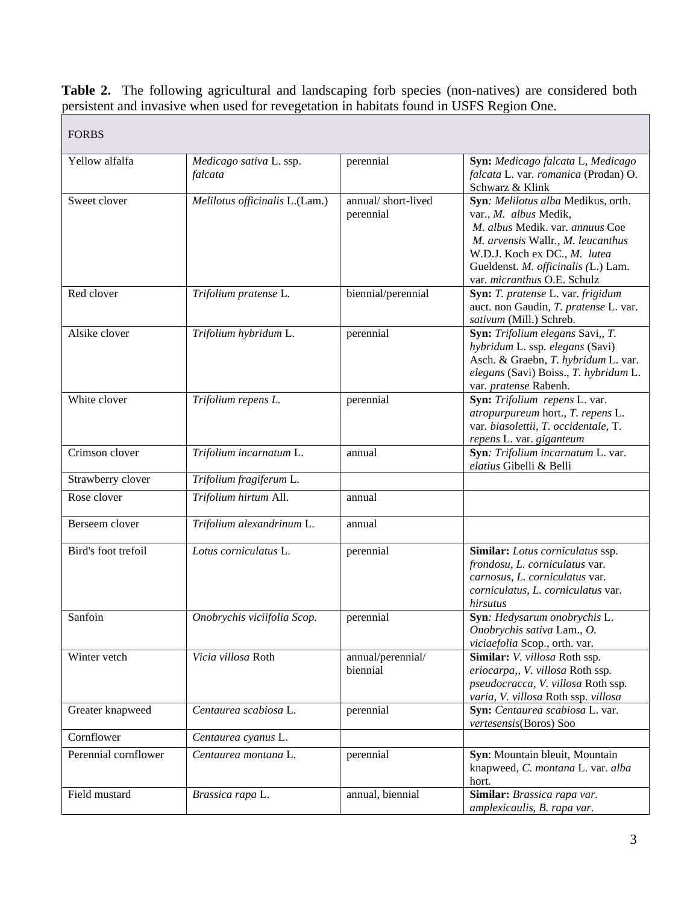Table 2. The following agricultural and landscaping forb species (non-natives) are considered both persistent and invasive when used for revegetation in habitats found in USFS Region One.

| <b>FORBS</b>         |                                    |                                 |                                                                                                                                                                                                                                           |
|----------------------|------------------------------------|---------------------------------|-------------------------------------------------------------------------------------------------------------------------------------------------------------------------------------------------------------------------------------------|
| Yellow alfalfa       | Medicago sativa L. ssp.<br>falcata | perennial                       | Syn: Medicago falcata L, Medicago<br>falcata L. var. romanica (Prodan) O.<br>Schwarz & Klink                                                                                                                                              |
| Sweet clover         | Melilotus officinalis L.(Lam.)     | annual/short-lived<br>perennial | Syn: Melilotus alba Medikus, orth.<br>var., M. albus Medik,<br>M. albus Medik. var. annuus Coe<br>M. arvensis Wallr., M. leucanthus<br>W.D.J. Koch ex DC., M. lutea<br>Gueldenst. M. officinalis (L.) Lam.<br>var. micranthus O.E. Schulz |
| Red clover           | Trifolium pratense L.              | biennial/perennial              | Syn: T. pratense L. var. frigidum<br>auct. non Gaudin, T. pratense L. var.<br>sativum (Mill.) Schreb.                                                                                                                                     |
| Alsike clover        | Trifolium hybridum L.              | perennial                       | Syn: Trifolium elegans Savi,, T.<br>hybridum L. ssp. elegans (Savi)<br>Asch. & Graebn, T. hybridum L. var.<br>elegans (Savi) Boiss., T. hybridum L.<br>var. pratense Rabenh.                                                              |
| White clover         | Trifolium repens L.                | perennial                       | Syn: Trifolium repens L. var.<br>atropurpureum hort., T. repens L.<br>var. biasolettii, T. occidentale, T.<br>repens L. var. giganteum                                                                                                    |
| Crimson clover       | Trifolium incarnatum L.            | annual                          | Syn: Trifolium incarnatum L. var.<br>elatius Gibelli & Belli                                                                                                                                                                              |
| Strawberry clover    | Trifolium fragiferum L.            |                                 |                                                                                                                                                                                                                                           |
| Rose clover          | Trifolium hirtum All.              | annual                          |                                                                                                                                                                                                                                           |
| Berseem clover       | Trifolium alexandrinum L.          | annual                          |                                                                                                                                                                                                                                           |
| Bird's foot trefoil  | Lotus corniculatus L.              | perennial                       | Similar: Lotus corniculatus ssp.<br>frondosu, L. corniculatus var.<br>carnosus, L. corniculatus var.<br>corniculatus, L. corniculatus var.<br>hirsutus                                                                                    |
| Sanfoin              | Onobrychis viciifolia Scop.        | perennial                       | Syn: Hedysarum onobrychis L.<br>Onobrychis sativa Lam., O.<br>viciaefolia Scop., orth. var.                                                                                                                                               |
| Winter vetch         | Vicia villosa Roth                 | annual/perennial/<br>biennial   | Similar: V. villosa Roth ssp.<br>eriocarpa,, V. villosa Roth ssp.<br>pseudocracca, V. villosa Roth ssp.<br>varia, V. villosa Roth ssp. villosa                                                                                            |
| Greater knapweed     | Centaurea scabiosa L.              | perennial                       | Syn: Centaurea scabiosa L. var.<br>vertesensis(Boros) Soo                                                                                                                                                                                 |
| Cornflower           | Centaurea cyanus L.                |                                 |                                                                                                                                                                                                                                           |
| Perennial cornflower | Centaurea montana L.               | perennial                       | Syn: Mountain bleuit, Mountain<br>knapweed, C. montana L. var. alba<br>hort.                                                                                                                                                              |
| Field mustard        | Brassica rapa L.                   | annual, biennial                | Similar: Brassica rapa var.<br>amplexicaulis, B. rapa var.                                                                                                                                                                                |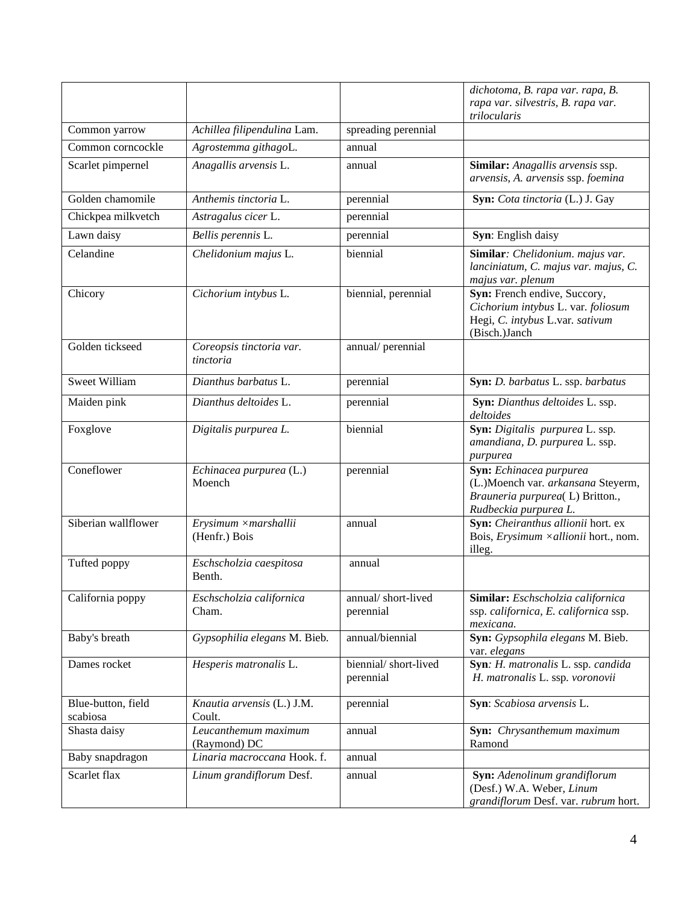|                                |                                       |                                   | dichotoma, B. rapa var. rapa, B.<br>rapa var. silvestris, B. rapa var.<br>trilocularis                                    |
|--------------------------------|---------------------------------------|-----------------------------------|---------------------------------------------------------------------------------------------------------------------------|
| Common yarrow                  | Achillea filipendulina Lam.           | spreading perennial               |                                                                                                                           |
| Common corncockle              | Agrostemma githagoL.                  | annual                            |                                                                                                                           |
| Scarlet pimpernel              | Anagallis arvensis L.                 | annual                            | Similar: Anagallis arvensis ssp.<br>arvensis, A. arvensis ssp. foemina                                                    |
| Golden chamomile               | Anthemis tinctoria L.                 | perennial                         | Syn: Cota tinctoria (L.) J. Gay                                                                                           |
| Chickpea milkvetch             | Astragalus cicer L.                   | perennial                         |                                                                                                                           |
| Lawn daisy                     | Bellis perennis L.                    | perennial                         | Syn: English daisy                                                                                                        |
| Celandine                      | Chelidonium majus L.                  | biennial                          | Similar: Chelidonium. majus var.<br>lanciniatum, C. majus var. majus, C.<br>majus var. plenum                             |
| Chicory                        | Cichorium intybus L.                  | biennial, perennial               | Syn: French endive, Succory,<br>Cichorium intybus L. var. foliosum<br>Hegi, C. intybus L.var. sativum<br>(Bisch.) Janch   |
| Golden tickseed                | Coreopsis tinctoria var.<br>tinctoria | annual/perennial                  |                                                                                                                           |
| <b>Sweet William</b>           | Dianthus barbatus L.                  | perennial                         | Syn: D. barbatus L. ssp. barbatus                                                                                         |
| Maiden pink                    | Dianthus deltoides L.                 | perennial                         | Syn: Dianthus deltoides L. ssp.<br>deltoides                                                                              |
| Foxglove                       | Digitalis purpurea L.                 | biennial                          | Syn: Digitalis purpurea L. ssp.<br>amandiana, D. purpurea L. ssp.<br>purpurea                                             |
| Coneflower                     | Echinacea purpurea (L.)<br>Moench     | perennial                         | Syn: Echinacea purpurea<br>(L.)Moench var. arkansana Steyerm,<br>Brauneria purpurea(L) Britton.,<br>Rudbeckia purpurea L. |
| Siberian wallflower            | Erysimum ×marshallii<br>(Henfr.) Bois | annual                            | Syn: Cheiranthus allionii hort. ex<br>Bois, Erysimum ×allionii hort., nom.<br>illeg.                                      |
| Tufted poppy                   | Eschscholzia caespitosa<br>Benth.     | annual                            |                                                                                                                           |
| California poppy               | Eschscholzia californica<br>Cham.     | annual/short-lived<br>perennial   | Similar: Eschscholzia californica<br>ssp. californica, E. californica ssp.<br>mexicana.                                   |
| Baby's breath                  | Gypsophilia elegans M. Bieb.          | annual/biennial                   | Syn: Gypsophila elegans M. Bieb.<br>var. elegans                                                                          |
| Dames rocket                   | Hesperis matronalis L.                | biennial/short-lived<br>perennial | Syn: H. matronalis L. ssp. candida<br>H. matronalis L. ssp. voronovii                                                     |
| Blue-button, field<br>scabiosa | Knautia arvensis (L.) J.M.<br>Coult.  | perennial                         | Syn: Scabiosa arvensis L.                                                                                                 |
| Shasta daisy                   | Leucanthemum maximum<br>(Raymond) DC  | annual                            | Syn: Chrysanthemum maximum<br>Ramond                                                                                      |
| Baby snapdragon                | Linaria macroccana Hook. f.           | annual                            |                                                                                                                           |
| Scarlet flax                   | Linum grandiflorum Desf.              | annual                            | Syn: Adenolinum grandiflorum<br>(Desf.) W.A. Weber, Linum<br>grandiflorum Desf. var. rubrum hort.                         |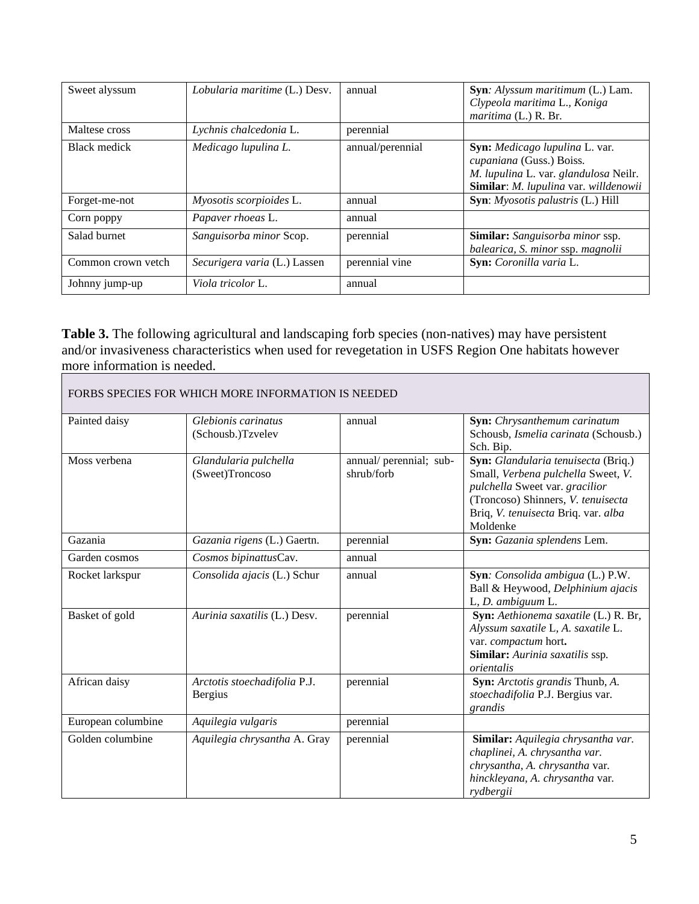| Sweet alyssum      | Lobularia maritime (L.) Desv. | annual           | Syn: Alyssum maritimum (L.) Lam.<br>Clypeola maritima L., Koniga<br><i>maritima</i> (L.) R. Br.                                              |
|--------------------|-------------------------------|------------------|----------------------------------------------------------------------------------------------------------------------------------------------|
| Maltese cross      | Lychnis chalcedonia L.        | perennial        |                                                                                                                                              |
| Black medick       | Medicago lupulina L.          | annual/perennial | Syn: Medicago lupulina L. var.<br>cupaniana (Guss.) Boiss.<br>M. lupulina L. var. glandulosa Neilr.<br>Similar: M. lupulina var. willdenowii |
| Forget-me-not      | Myosotis scorpioides L.       | annual           | Syn: Myosotis palustris (L.) Hill                                                                                                            |
| Corn poppy         | Papaver rhoeas L.             | annual           |                                                                                                                                              |
| Salad burnet       | Sanguisorba minor Scop.       | perennial        | <b>Similar:</b> Sanguisorba minor ssp.<br>balearica, S. minor ssp. magnolii                                                                  |
| Common crown yetch | Securigera varia (L.) Lassen  | perennial vine   | Syn: Coronilla varia L.                                                                                                                      |
| Johnny jump-up     | Viola tricolor L.             | annual           |                                                                                                                                              |

**Table 3.** The following agricultural and landscaping forb species (non-natives) may have persistent and/or invasiveness characteristics when used for revegetation in USFS Region One habitats however more information is needed.

| FORBS SPECIES FOR WHICH MORE INFORMATION IS NEEDED |                                                |                                       |                                                                                                                                                                                                      |  |
|----------------------------------------------------|------------------------------------------------|---------------------------------------|------------------------------------------------------------------------------------------------------------------------------------------------------------------------------------------------------|--|
| Painted daisy                                      | Glebionis carinatus<br>(Schousb.)Tzvelev       | annual                                | Syn: Chrysanthemum carinatum<br>Schousb, Ismelia carinata (Schousb.)<br>Sch. Bip.                                                                                                                    |  |
| Moss verbena                                       | Glandularia pulchella<br>(Sweet)Troncoso       | annual/ perennial; sub-<br>shrub/forb | Syn: Glandularia tenuisecta (Briq.)<br>Small, Verbena pulchella Sweet, V.<br>pulchella Sweet var. gracilior<br>(Troncoso) Shinners, V. tenuisecta<br>Briq, V. tenuisecta Briq. var. alba<br>Moldenke |  |
| Gazania                                            | Gazania rigens (L.) Gaertn.                    | perennial                             | Syn: Gazania splendens Lem.                                                                                                                                                                          |  |
| Garden cosmos                                      | Cosmos bipinattusCav.                          | annual                                |                                                                                                                                                                                                      |  |
| Rocket larkspur                                    | Consolida ajacis (L.) Schur                    | annual                                | Syn: Consolida ambigua (L.) P.W.<br>Ball & Heywood, Delphinium ajacis<br>L, D. ambiguum L.                                                                                                           |  |
| Basket of gold                                     | Aurinia saxatilis (L.) Desv.                   | perennial                             | Syn: Aethionema saxatile (L.) R. Br,<br>Alyssum saxatile L, A. saxatile L.<br>var. compactum hort.<br>Similar: Aurinia saxatilis ssp.<br>orientalis                                                  |  |
| African daisy                                      | Arctotis stoechadifolia P.J.<br><b>Bergius</b> | perennial                             | Syn: Arctotis grandis Thunb, A.<br>stoechadifolia P.J. Bergius var.<br>grandis                                                                                                                       |  |
| European columbine                                 | Aquilegia vulgaris                             | perennial                             |                                                                                                                                                                                                      |  |
| Golden columbine                                   | Aquilegia chrysantha A. Gray                   | perennial                             | Similar: Aquilegia chrysantha var.<br>chaplinei, A. chrysantha var.<br>chrysantha, A. chrysantha var.<br>hinckleyana, A. chrysantha var.<br>rydbergii                                                |  |

 $\overline{\phantom{a}}$